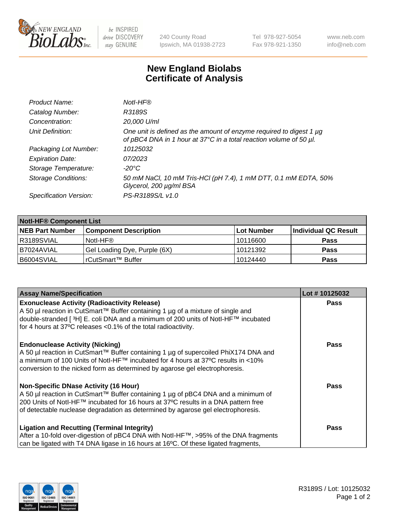

 $be$  INSPIRED drive DISCOVERY stay GENUINE

240 County Road Ipswich, MA 01938-2723 Tel 978-927-5054 Fax 978-921-1350 www.neb.com info@neb.com

## **New England Biolabs Certificate of Analysis**

| Product Name:              | Notl-HF®                                                                                                                                  |
|----------------------------|-------------------------------------------------------------------------------------------------------------------------------------------|
| Catalog Number:            | R3189S                                                                                                                                    |
| Concentration:             | 20,000 U/ml                                                                                                                               |
| Unit Definition:           | One unit is defined as the amount of enzyme required to digest 1 µg<br>of pBC4 DNA in 1 hour at 37°C in a total reaction volume of 50 µl. |
| Packaging Lot Number:      | 10125032                                                                                                                                  |
| <b>Expiration Date:</b>    | 07/2023                                                                                                                                   |
| Storage Temperature:       | $-20^{\circ}$ C                                                                                                                           |
| <b>Storage Conditions:</b> | 50 mM NaCl, 10 mM Tris-HCl (pH 7.4), 1 mM DTT, 0.1 mM EDTA, 50%<br>Glycerol, 200 µg/ml BSA                                                |
| Specification Version:     | PS-R3189S/L v1.0                                                                                                                          |

| <b>Notl-HF® Component List</b> |                              |            |                      |  |  |
|--------------------------------|------------------------------|------------|----------------------|--|--|
| <b>NEB Part Number</b>         | <b>Component Description</b> | Lot Number | Individual QC Result |  |  |
| R3189SVIAL                     | Notl-HF®                     | 10116600   | <b>Pass</b>          |  |  |
| I B7024AVIAL                   | Gel Loading Dye, Purple (6X) | 10121392   | <b>Pass</b>          |  |  |
| B6004SVIAL                     | l rCutSmart™ Buffer          | 10124440   | <b>Pass</b>          |  |  |

| <b>Assay Name/Specification</b>                                                                                                                                                                                                                                                                      | Lot #10125032 |
|------------------------------------------------------------------------------------------------------------------------------------------------------------------------------------------------------------------------------------------------------------------------------------------------------|---------------|
| <b>Exonuclease Activity (Radioactivity Release)</b>                                                                                                                                                                                                                                                  | <b>Pass</b>   |
| A 50 µl reaction in CutSmart™ Buffer containing 1 µg of a mixture of single and<br>double-stranded [ <sup>3</sup> H] E. coli DNA and a minimum of 200 units of Notl-HF™ incubated<br>for 4 hours at 37°C releases <0.1% of the total radioactivity.                                                  |               |
| <b>Endonuclease Activity (Nicking)</b><br>A 50 µl reaction in CutSmart™ Buffer containing 1 µg of supercoiled PhiX174 DNA and<br> a minimum of 100 Units of Notl-HF™ incubated for 4 hours at 37°C results in <10%<br>conversion to the nicked form as determined by agarose gel electrophoresis.    | <b>Pass</b>   |
| Non-Specific DNase Activity (16 Hour)<br>A 50 µl reaction in CutSmart™ Buffer containing 1 µg of pBC4 DNA and a minimum of<br>200 Units of Notl-HF™ incubated for 16 hours at 37°C results in a DNA pattern free<br>of detectable nuclease degradation as determined by agarose gel electrophoresis. | Pass          |
| <b>Ligation and Recutting (Terminal Integrity)</b><br>After a 10-fold over-digestion of pBC4 DNA with Notl-HF™, >95% of the DNA fragments<br>can be ligated with T4 DNA ligase in 16 hours at 16°C. Of these ligated fragments,                                                                      | <b>Pass</b>   |